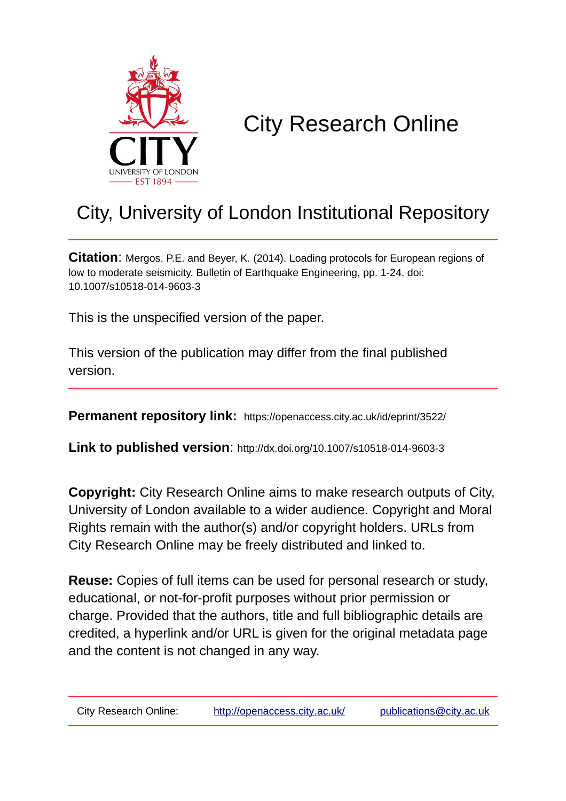

# City Research Online

# City, University of London Institutional Repository

**Citation**: Mergos, P.E. and Beyer, K. (2014). Loading protocols for European regions of low to moderate seismicity. Bulletin of Earthquake Engineering, pp. 1-24. doi: 10.1007/s10518-014-9603-3

This is the unspecified version of the paper.

This version of the publication may differ from the final published version.

**Permanent repository link:** https://openaccess.city.ac.uk/id/eprint/3522/

**Link to published version**: http://dx.doi.org/10.1007/s10518-014-9603-3

**Copyright:** City Research Online aims to make research outputs of City, University of London available to a wider audience. Copyright and Moral Rights remain with the author(s) and/or copyright holders. URLs from City Research Online may be freely distributed and linked to.

**Reuse:** Copies of full items can be used for personal research or study, educational, or not-for-profit purposes without prior permission or charge. Provided that the authors, title and full bibliographic details are credited, a hyperlink and/or URL is given for the original metadata page and the content is not changed in any way.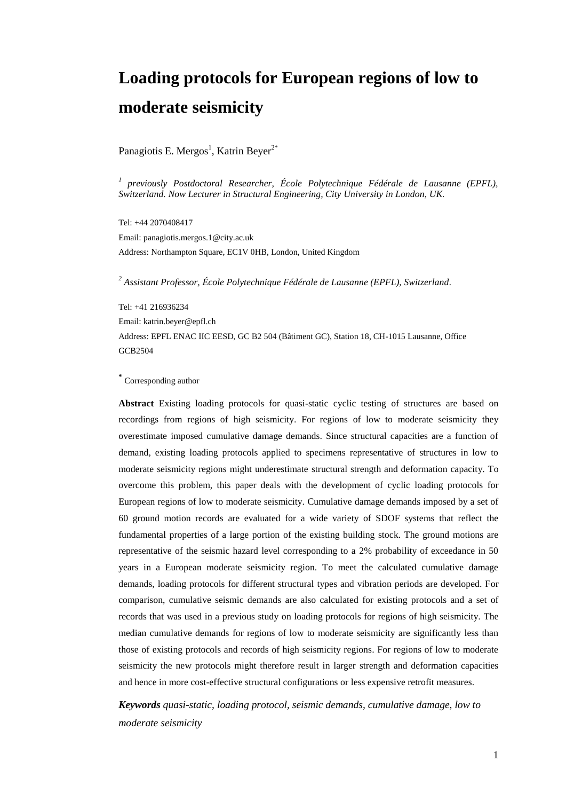# **Loading protocols for European regions of low to moderate seismicity**

Panagiotis E. Mergos<sup>1</sup>, Katrin Beyer<sup>2\*</sup>

*1 previously Postdoctoral Researcher, École Polytechnique Fédérale de Lausanne (EPFL), Switzerland. Now Lecturer in Structural Engineering, City University in London, UK.*

Tel: +44 2070408417 Email: panagiotis.mergos.1@city.ac.uk Address: Northampton Square, EC1V 0HB, London, United Kingdom

*<sup>2</sup> Assistant Professor, École Polytechnique Fédérale de Lausanne (EPFL), Switzerland.*

Tel: +41 216936234

Email: katrin.beyer@epfl.ch

Address: EPFL ENAC IIC EESD, GC B2 504 (Bâtiment GC), Station 18, CH-1015 Lausanne, Office [GCB2504](http://plan.epfl.ch/?room=GCB2504)

#### **\*** Corresponding author

**Abstract** Existing loading protocols for quasi-static cyclic testing of structures are based on recordings from regions of high seismicity. For regions of low to moderate seismicity they overestimate imposed cumulative damage demands. Since structural capacities are a function of demand, existing loading protocols applied to specimens representative of structures in low to moderate seismicity regions might underestimate structural strength and deformation capacity. To overcome this problem, this paper deals with the development of cyclic loading protocols for European regions of low to moderate seismicity. Cumulative damage demands imposed by a set of 60 ground motion records are evaluated for a wide variety of SDOF systems that reflect the fundamental properties of a large portion of the existing building stock. The ground motions are representative of the seismic hazard level corresponding to a 2% probability of exceedance in 50 years in a European moderate seismicity region. To meet the calculated cumulative damage demands, loading protocols for different structural types and vibration periods are developed. For comparison, cumulative seismic demands are also calculated for existing protocols and a set of records that was used in a previous study on loading protocols for regions of high seismicity. The median cumulative demands for regions of low to moderate seismicity are significantly less than those of existing protocols and records of high seismicity regions. For regions of low to moderate seismicity the new protocols might therefore result in larger strength and deformation capacities and hence in more cost-effective structural configurations or less expensive retrofit measures.

*Keywords quasi-static, loading protocol, seismic demands, cumulative damage, low to moderate seismicity*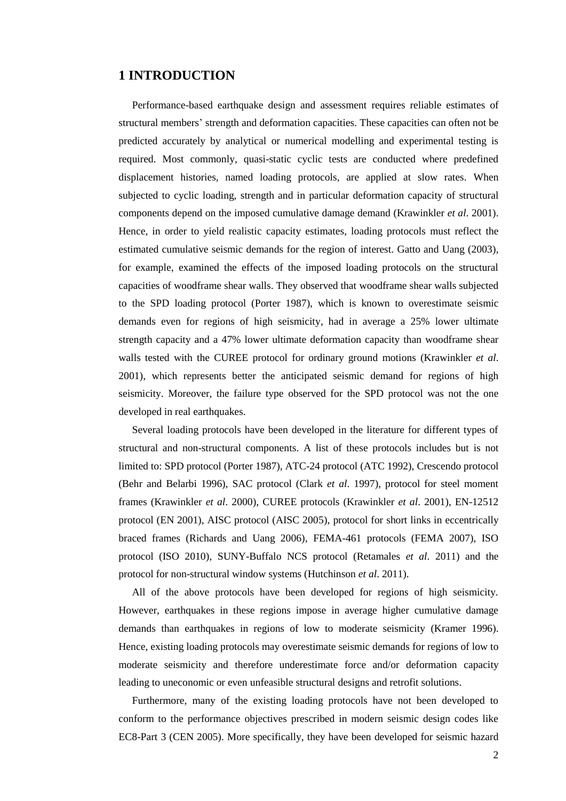## **1 INTRODUCTION**

Performance-based earthquake design and assessment requires reliable estimates of structural members' strength and deformation capacities. These capacities can often not be predicted accurately by analytical or numerical modelling and experimental testing is required. Most commonly, quasi-static cyclic tests are conducted where predefined displacement histories, named loading protocols, are applied at slow rates. When subjected to cyclic loading, strength and in particular deformation capacity of structural components depend on the imposed cumulative damage demand (Krawinkler *et al*. 2001). Hence, in order to yield realistic capacity estimates, loading protocols must reflect the estimated cumulative seismic demands for the region of interest. Gatto and Uang (2003), for example, examined the effects of the imposed loading protocols on the structural capacities of woodframe shear walls. They observed that woodframe shear walls subjected to the SPD loading protocol (Porter 1987), which is known to overestimate seismic demands even for regions of high seismicity, had in average a 25% lower ultimate strength capacity and a 47% lower ultimate deformation capacity than woodframe shear walls tested with the CUREE protocol for ordinary ground motions (Krawinkler *et al*. 2001), which represents better the anticipated seismic demand for regions of high seismicity. Moreover, the failure type observed for the SPD protocol was not the one developed in real earthquakes.

Several loading protocols have been developed in the literature for different types of structural and non-structural components. A list of these protocols includes but is not limited to: SPD protocol (Porter 1987), ATC-24 protocol (ATC 1992), Crescendo protocol (Behr and Belarbi 1996), SAC protocol (Clark *et al*. 1997), protocol for steel moment frames (Krawinkler *et al*. 2000), CUREE protocols (Krawinkler *et al*. 2001), EN-12512 protocol (EN 2001), AISC protocol (AISC 2005), protocol for short links in eccentrically braced frames (Richards and Uang 2006), FEMA-461 protocols (FEMA 2007), ISO protocol (ISO 2010), SUNY-Buffalo NCS protocol (Retamales *et al*. 2011) and the protocol for non-structural window systems (Hutchinson *et al*. 2011).

All of the above protocols have been developed for regions of high seismicity. However, earthquakes in these regions impose in average higher cumulative damage demands than earthquakes in regions of low to moderate seismicity (Kramer 1996). Hence, existing loading protocols may overestimate seismic demands for regions of low to moderate seismicity and therefore underestimate force and/or deformation capacity leading to uneconomic or even unfeasible structural designs and retrofit solutions.

Furthermore, many of the existing loading protocols have not been developed to conform to the performance objectives prescribed in modern seismic design codes like EC8-Part 3 (CEN 2005). More specifically, they have been developed for seismic hazard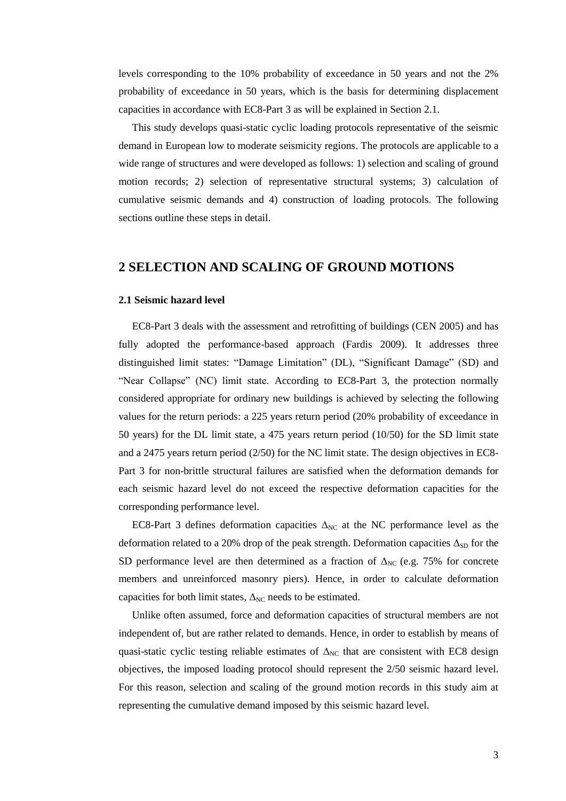levels corresponding to the 10% probability of exceedance in 50 years and not the 2% probability of exceedance in 50 years, which is the basis for determining displacement capacities in accordance with EC8-Part 3 as will be explained in Section 2.1.

This study develops quasi-static cyclic loading protocols representative of the seismic demand in European low to moderate seismicity regions. The protocols are applicable to a wide range of structures and were developed as follows: 1) selection and scaling of ground motion records; 2) selection of representative structural systems; 3) calculation of cumulative seismic demands and 4) construction of loading protocols. The following sections outline these steps in detail.

## **2 SELECTION AND SCALING OF GROUND MOTIONS**

### **2.1 Seismic hazard level**

EC8-Part 3 deals with the assessment and retrofitting of buildings (CEN 2005) and has fully adopted the performance-based approach (Fardis 2009). It addresses three distinguished limit states: "Damage Limitation" (DL), "Significant Damage" (SD) and "Near Collapse" (NC) limit state. According to EC8-Part 3, the protection normally considered appropriate for ordinary new buildings is achieved by selecting the following values for the return periods: a 225 years return period (20% probability of exceedance in 50 years) for the DL limit state, a 475 years return period (10/50) for the SD limit state and a 2475 years return period (2/50) for the NC limit state. The design objectives in EC8- Part 3 for non-brittle structural failures are satisfied when the deformation demands for each seismic hazard level do not exceed the respective deformation capacities for the corresponding performance level.

EC8-Part 3 defines deformation capacities  $\Delta_{NC}$  at the NC performance level as the deformation related to a 20% drop of the peak strength. Deformation capacities  $\Delta_{SD}$  for the SD performance level are then determined as a fraction of  $\Delta_{NC}$  (e.g. 75% for concrete members and unreinforced masonry piers). Hence, in order to calculate deformation capacities for both limit states,  $\Delta_{NC}$  needs to be estimated.

Unlike often assumed, force and deformation capacities of structural members are not independent of, but are rather related to demands. Hence, in order to establish by means of quasi-static cyclic testing reliable estimates of  $\Delta_{NC}$  that are consistent with EC8 design objectives, the imposed loading protocol should represent the 2/50 seismic hazard level. For this reason, selection and scaling of the ground motion records in this study aim at representing the cumulative demand imposed by this seismic hazard level.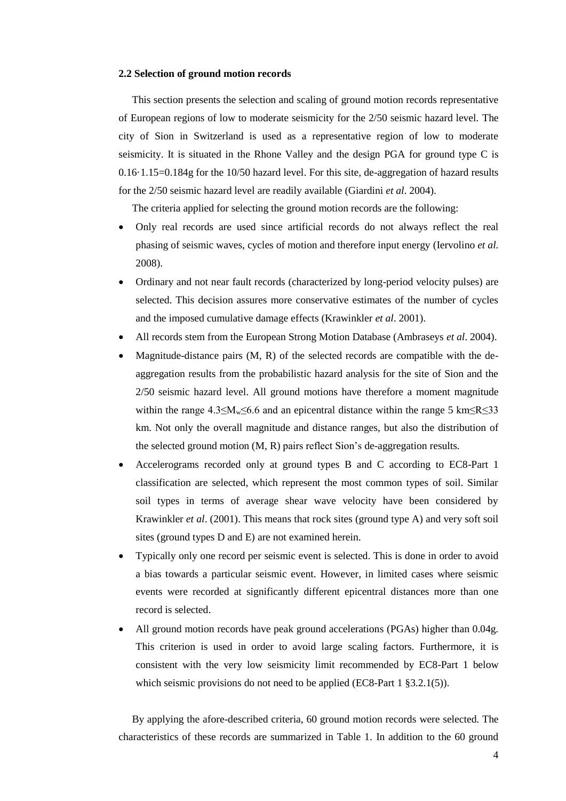#### **2.2 Selection of ground motion records**

This section presents the selection and scaling of ground motion records representative of European regions of low to moderate seismicity for the 2/50 seismic hazard level. The city of Sion in Switzerland is used as a representative region of low to moderate seismicity. It is situated in the Rhone Valley and the design PGA for ground type C is 0.16·1.15=0.184g for the 10/50 hazard level. For this site, de-aggregation of hazard results for the 2/50 seismic hazard level are readily available (Giardini *et al*. 2004).

The criteria applied for selecting the ground motion records are the following:

- Only real records are used since artificial records do not always reflect the real phasing of seismic waves, cycles of motion and therefore input energy (Iervolino *et al.* 2008).
- Ordinary and not near fault records (characterized by long-period velocity pulses) are selected. This decision assures more conservative estimates of the number of cycles and the imposed cumulative damage effects (Krawinkler *et al*. 2001).
- All records stem from the European Strong Motion Database (Ambraseys *et al*. 2004).
- Magnitude-distance pairs (M, R) of the selected records are compatible with the deaggregation results from the probabilistic hazard analysis for the site of Sion and the 2/50 seismic hazard level. All ground motions have therefore a moment magnitude within the range  $4.3 \le M_w \le 6.6$  and an epicentral distance within the range 5 km  $\le R \le 33$ km. Not only the overall magnitude and distance ranges, but also the distribution of the selected ground motion (M, R) pairs reflect Sion's de-aggregation results.
- Accelerograms recorded only at ground types B and C according to EC8-Part 1 classification are selected, which represent the most common types of soil. Similar soil types in terms of average shear wave velocity have been considered by Krawinkler *et al*. (2001). This means that rock sites (ground type A) and very soft soil sites (ground types D and E) are not examined herein.
- Typically only one record per seismic event is selected. This is done in order to avoid a bias towards a particular seismic event. However, in limited cases where seismic events were recorded at significantly different epicentral distances more than one record is selected.
- All ground motion records have peak ground accelerations (PGAs) higher than 0.04g. This criterion is used in order to avoid large scaling factors. Furthermore, it is consistent with the very low seismicity limit recommended by EC8-Part 1 below which seismic provisions do not need to be applied (EC8-Part 1 §3.2.1(5)).

By applying the afore-described criteria, 60 ground motion records were selected. The characteristics of these records are summarized in Table 1. In addition to the 60 ground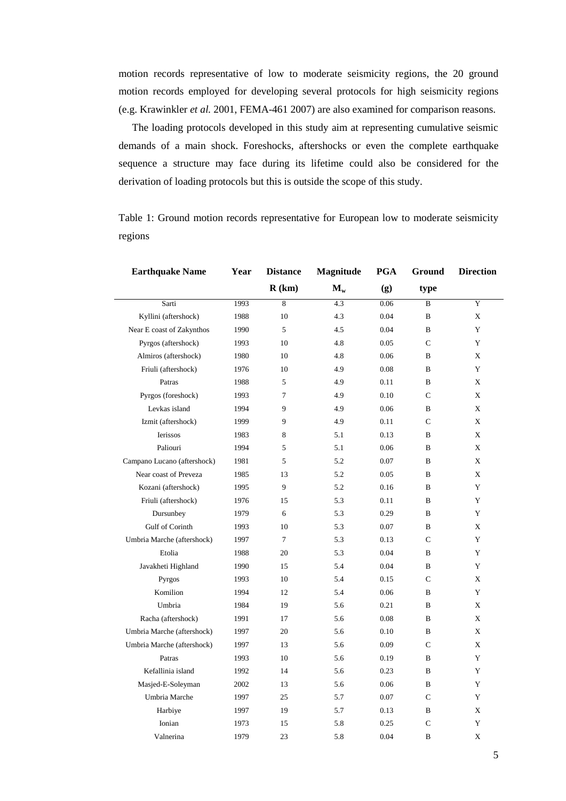motion records representative of low to moderate seismicity regions, the 20 ground motion records employed for developing several protocols for high seismicity regions (e.g. Krawinkler *et al.* 2001, FEMA-461 2007) are also examined for comparison reasons.

The loading protocols developed in this study aim at representing cumulative seismic demands of a main shock. Foreshocks, aftershocks or even the complete earthquake sequence a structure may face during its lifetime could also be considered for the derivation of loading protocols but this is outside the scope of this study.

Table 1: Ground motion records representative for European low to moderate seismicity regions

| <b>Earthquake Name</b>      | Year<br><b>Distance</b> |                | Magnitude | <b>PGA</b> | Ground       | <b>Direction</b> |  |
|-----------------------------|-------------------------|----------------|-----------|------------|--------------|------------------|--|
|                             |                         | R(km)          | $M_{w}$   | (g)        | type         |                  |  |
| Sarti                       | 1993                    | 8              | 4.3       | 0.06       | B            | Y                |  |
| Kyllini (aftershock)        | 1988                    | 10             | 4.3       | 0.04       | B            | X                |  |
| Near E coast of Zakynthos   | 1990                    | 5              | 4.5       | 0.04       | B            | Y                |  |
| Pyrgos (aftershock)         | 1993                    | 10             | 4.8       | 0.05       | $\mathbf C$  | Y                |  |
| Almiros (aftershock)        | 1980                    | 10             | 4.8       | 0.06       | B            | X                |  |
| Friuli (aftershock)         | 1976                    | 10             | 4.9       | 0.08       | B            | Y                |  |
| Patras                      | 1988                    | 5              | 4.9       | 0.11       | B            | X                |  |
| Pyrgos (foreshock)          | 1993                    | $\overline{7}$ | 4.9       | 0.10       | $\mathsf{C}$ | X                |  |
| Levkas island               | 1994                    | 9              | 4.9       | 0.06       | B            | X                |  |
| Izmit (aftershock)          | 1999                    | 9              | 4.9       | 0.11       | C            | X                |  |
| <b>Ierissos</b>             | 1983                    | 8              | 5.1       | 0.13       | B            | X                |  |
| Paliouri                    | 1994                    | 5              | 5.1       | 0.06       | B            | X                |  |
| Campano Lucano (aftershock) | 1981                    | 5              | 5.2       | 0.07       | B            | X                |  |
| Near coast of Preveza       | 1985                    | 13             | 5.2       | 0.05       | B            | X                |  |
| Kozani (aftershock)         | 1995                    | 9              | 5.2       | 0.16       | B            | Y                |  |
| Friuli (aftershock)         | 1976                    | 15             | 5.3       | 0.11       | B            | Y                |  |
| Dursunbey                   | 1979                    | 6              | 5.3       | 0.29       | B            | Y                |  |
| Gulf of Corinth             | 1993                    | 10             | 5.3       | 0.07       | B            | X                |  |
| Umbria Marche (aftershock)  | 1997                    | $\tau$         | 5.3       | 0.13       | $\mathsf{C}$ | Y                |  |
| Etolia                      | 1988                    | 20             | 5.3       | 0.04       | B            | Y                |  |
| Javakheti Highland          | 1990                    | 15             | 5.4       | 0.04       | B            | Y                |  |
| Pyrgos                      | 1993                    | 10             | 5.4       | 0.15       | $\mathsf{C}$ | X                |  |
| Komilion                    | 1994                    | 12             | 5.4       | 0.06       | B            | Y                |  |
| Umbria                      | 1984                    | 19             | 5.6       | 0.21       | B            | X                |  |
| Racha (aftershock)          | 1991                    | 17             | 5.6       | 0.08       | B            | X                |  |
| Umbria Marche (aftershock)  | 1997                    | 20             | 5.6       | 0.10       | B            | X                |  |
| Umbria Marche (aftershock)  | 1997                    | 13             | 5.6       | 0.09       | $\mathsf{C}$ | X                |  |
| Patras                      | 1993                    | 10             | 5.6       | 0.19       | B            | Y                |  |
| Kefallinia island           | 1992                    | 14             | 5.6       | 0.23       | B            | Y                |  |
| Masjed-E-Soleyman           | 2002                    | 13             | 5.6       | 0.06       | B            | Y                |  |
| Umbria Marche               | 1997                    | 25             | 5.7       | 0.07       | $\mathsf{C}$ | Y                |  |
| Harbiye                     | 1997                    | 19             | 5.7       | 0.13       | B            | X                |  |
| Ionian                      | 1973                    | 15             | 5.8       | 0.25       | C            | Y                |  |
| Valnerina                   | 1979                    | 23             | 5.8       | 0.04       | B            | X                |  |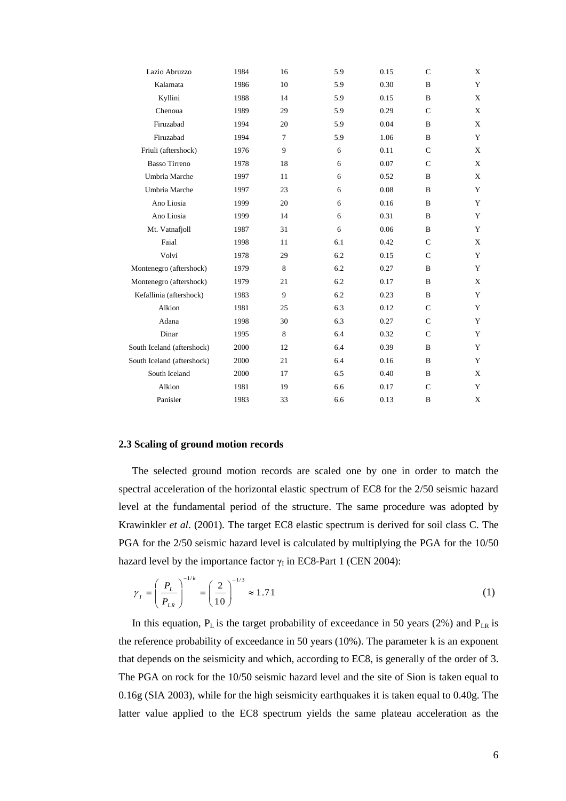| Lazio Abruzzo              | 1984 | 16     | 5.9 | 0.15 | $\mathsf{C}$  | X           |
|----------------------------|------|--------|-----|------|---------------|-------------|
| Kalamata                   | 1986 | 10     | 5.9 | 0.30 | $\, {\bf B}$  | Y           |
| Kyllini                    | 1988 | 14     | 5.9 | 0.15 | B             | X           |
| Chenoua                    | 1989 | 29     | 5.9 | 0.29 | $\mathsf{C}$  | X           |
| Firuzabad                  | 1994 | 20     | 5.9 | 0.04 | B             | X           |
| Firuzabad                  | 1994 | $\tau$ | 5.9 | 1.06 | B             | Y           |
| Friuli (aftershock)        | 1976 | 9      | 6   | 0.11 | $\mathsf{C}$  | X           |
| <b>Basso Tirreno</b>       | 1978 | 18     | 6   | 0.07 | $\mathsf{C}$  | X           |
| Umbria Marche              | 1997 | 11     | 6   | 0.52 | B             | $\mathbf X$ |
| Umbria Marche              | 1997 | 23     | 6   | 0.08 | B             | Y           |
| Ano Liosia                 | 1999 | 20     | 6   | 0.16 | B             | Y           |
| Ano Liosia                 | 1999 | 14     | 6   | 0.31 | B             | Y           |
| Mt. Vatnafjoll             | 1987 | 31     | 6   | 0.06 | B             | Y           |
| Faial                      | 1998 | 11     | 6.1 | 0.42 | $\mathsf{C}$  | X           |
| Volvi                      | 1978 | 29     | 6.2 | 0.15 | $\mathcal{C}$ | Y           |
| Montenegro (aftershock)    | 1979 | 8      | 6.2 | 0.27 | B             | Y           |
| Montenegro (aftershock)    | 1979 | 21     | 6.2 | 0.17 | B             | X           |
| Kefallinia (aftershock)    | 1983 | 9      | 6.2 | 0.23 | $\, {\bf B}$  | Y           |
| Alkion                     | 1981 | 25     | 6.3 | 0.12 | $\mathsf{C}$  | Y           |
| Adana                      | 1998 | 30     | 6.3 | 0.27 | $\mathsf{C}$  | Y           |
| Dinar                      | 1995 | 8      | 6.4 | 0.32 | $\mathsf{C}$  | Y           |
| South Iceland (aftershock) | 2000 | 12     | 6.4 | 0.39 | $\bf{B}$      | Y           |
| South Iceland (aftershock) | 2000 | 21     | 6.4 | 0.16 | B             | Y           |
| South Iceland              | 2000 | 17     | 6.5 | 0.40 | $\mathbf{B}$  | X           |
| Alkion                     | 1981 | 19     | 6.6 | 0.17 | $\mathsf{C}$  | Y           |
| Panisler                   | 1983 | 33     | 6.6 | 0.13 | B             | X           |

#### **2.3 Scaling of ground motion records**

The selected ground motion records are scaled one by one in order to match the spectral acceleration of the horizontal elastic spectrum of EC8 for the 2/50 seismic hazard level at the fundamental period of the structure. The same procedure was adopted by Krawinkler *et al*. (2001). The target EC8 elastic spectrum is derived for soil class C. The PGA for the 2/50 seismic hazard level is calculated by multiplying the PGA for the 10/50 hazard level by the importance factor  $\gamma_I$  in EC8-Part 1 (CEN 2004):

$$
\gamma_{I} = \left(\frac{P_{L}}{P_{LR}}\right)^{-1/k} = \left(\frac{2}{10}\right)^{-1/3} \approx 1.71
$$
 (1)

In this equation,  $P_L$  is the target probability of exceedance in 50 years (2%) and  $P_{LR}$  is the reference probability of exceedance in 50 years (10%). The parameter k is an exponent that depends on the seismicity and which, according to EC8, is generally of the order of 3. The PGA on rock for the 10/50 seismic hazard level and the site of Sion is taken equal to 0.16g (SIA 2003), while for the high seismicity earthquakes it is taken equal to 0.40g. The latter value applied to the EC8 spectrum yields the same plateau acceleration as the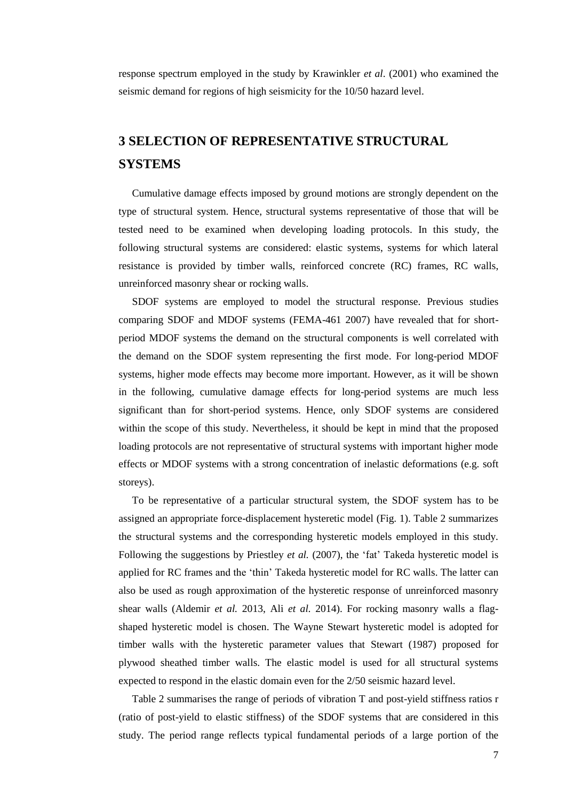response spectrum employed in the study by Krawinkler *et al*. (2001) who examined the seismic demand for regions of high seismicity for the 10/50 hazard level.

# **3 SELECTION OF REPRESENTATIVE STRUCTURAL SYSTEMS**

Cumulative damage effects imposed by ground motions are strongly dependent on the type of structural system. Hence, structural systems representative of those that will be tested need to be examined when developing loading protocols. In this study, the following structural systems are considered: elastic systems, systems for which lateral resistance is provided by timber walls, reinforced concrete (RC) frames, RC walls, unreinforced masonry shear or rocking walls.

SDOF systems are employed to model the structural response. Previous studies comparing SDOF and MDOF systems (FEMA-461 2007) have revealed that for shortperiod MDOF systems the demand on the structural components is well correlated with the demand on the SDOF system representing the first mode. For long-period MDOF systems, higher mode effects may become more important. However, as it will be shown in the following, cumulative damage effects for long-period systems are much less significant than for short-period systems. Hence, only SDOF systems are considered within the scope of this study. Nevertheless, it should be kept in mind that the proposed loading protocols are not representative of structural systems with important higher mode effects or MDOF systems with a strong concentration of inelastic deformations (e.g. soft storeys).

To be representative of a particular structural system, the SDOF system has to be assigned an appropriate force-displacement hysteretic model (Fig. 1). Table 2 summarizes the structural systems and the corresponding hysteretic models employed in this study. Following the suggestions by Priestley *et al.* (2007), the 'fat' Takeda hysteretic model is applied for RC frames and the 'thin' Takeda hysteretic model for RC walls. The latter can also be used as rough approximation of the hysteretic response of unreinforced masonry shear walls (Aldemir *et al.* 2013, Ali *et al.* 2014). For rocking masonry walls a flagshaped hysteretic model is chosen. The Wayne Stewart hysteretic model is adopted for timber walls with the hysteretic parameter values that Stewart (1987) proposed for plywood sheathed timber walls. The elastic model is used for all structural systems expected to respond in the elastic domain even for the 2/50 seismic hazard level.

Table 2 summarises the range of periods of vibration T and post-yield stiffness ratios r (ratio of post-yield to elastic stiffness) of the SDOF systems that are considered in this study. The period range reflects typical fundamental periods of a large portion of the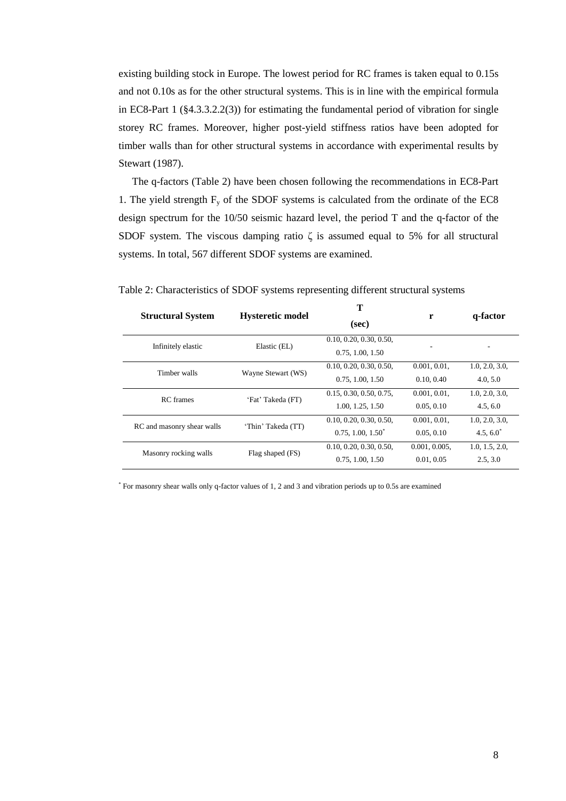existing building stock in Europe. The lowest period for RC frames is taken equal to 0.15s and not 0.10s as for the other structural systems. This is in line with the empirical formula in EC8-Part 1 (§4.3.3.2.2(3)) for estimating the fundamental period of vibration for single storey RC frames. Moreover, higher post-yield stiffness ratios have been adopted for timber walls than for other structural systems in accordance with experimental results by Stewart (1987).

The q-factors (Table 2) have been chosen following the recommendations in EC8-Part 1. The yield strength  $F_y$  of the SDOF systems is calculated from the ordinate of the EC8 design spectrum for the 10/50 seismic hazard level, the period T and the q-factor of the SDOF system. The viscous damping ratio  $\zeta$  is assumed equal to 5% for all structural systems. In total, 567 different SDOF systems are examined.

|                            |                                            | т                       |                                                                                                                            | q-factor       |  |
|----------------------------|--------------------------------------------|-------------------------|----------------------------------------------------------------------------------------------------------------------------|----------------|--|
| <b>Structural System</b>   | <b>Hysteretic model</b>                    | (sec)                   |                                                                                                                            |                |  |
| Infinitely elastic         | Elastic (EL)                               | 0.10, 0.20, 0.30, 0.50, |                                                                                                                            |                |  |
|                            |                                            | 0.75, 1.00, 1.50        | r<br>0.001, 0.01,<br>0.10, 0.40<br>0.001, 0.01.<br>0.05, 0.10<br>0.001, 0.01,<br>0.05, 0.10<br>0.001, 0.005,<br>0.01, 0.05 |                |  |
| Timber walls               | Wayne Stewart (WS)                         | 0.10, 0.20, 0.30, 0.50, |                                                                                                                            | 1.0, 2.0, 3.0, |  |
|                            |                                            | 0.75, 1.00, 1.50        |                                                                                                                            | 4.0, 5.0       |  |
| <b>RC</b> frames           | 'Fat' Takeda (FT)                          | 0.15, 0.30, 0.50, 0.75, |                                                                                                                            | 1.0, 2.0, 3.0, |  |
|                            |                                            | 1.00, 1.25, 1.50        |                                                                                                                            | 4.5, 6.0       |  |
| RC and masonry shear walls |                                            | 0.10, 0.20, 0.30, 0.50, |                                                                                                                            | 1.0, 2.0, 3.0, |  |
|                            | 'Thin' Takeda (TT)<br>$0.75, 1.00, 1.50^*$ |                         |                                                                                                                            | $4.5, 6.0^*$   |  |
| Masonry rocking walls      | Flag shaped (FS)                           | 0.10, 0.20, 0.30, 0.50, |                                                                                                                            | 1.0, 1.5, 2.0, |  |
|                            |                                            | 0.75, 1.00, 1.50        |                                                                                                                            | 2.5.3.0        |  |
|                            |                                            |                         |                                                                                                                            |                |  |

| Table 2: Characteristics of SDOF systems representing different structural systems |  |  |
|------------------------------------------------------------------------------------|--|--|
|------------------------------------------------------------------------------------|--|--|

\* For masonry shear walls only q-factor values of 1, 2 and 3 and vibration periods up to 0.5s are examined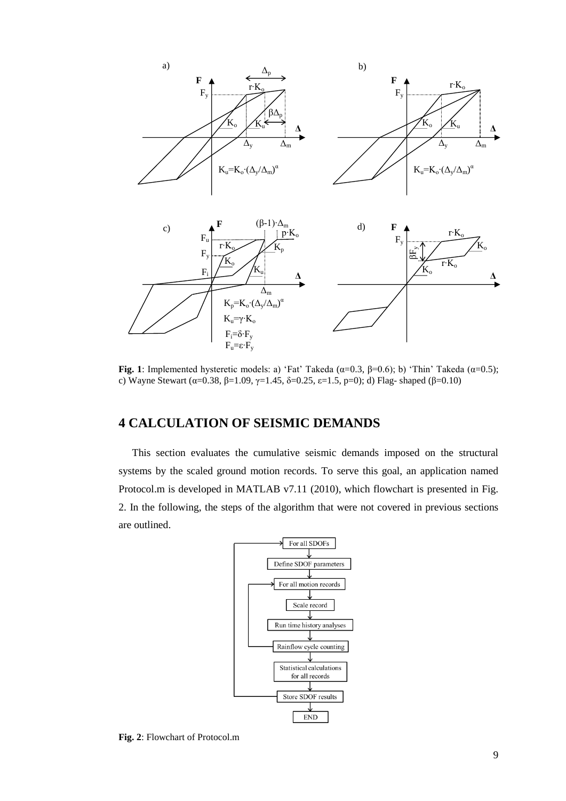

Fig. 1: Implemented hysteretic models: a) 'Fat' Takeda ( $\alpha$ =0.3,  $\beta$ =0.6); b) 'Thin' Takeda ( $\alpha$ =0.5); c) Wayne Stewart (α=0.38, β=1.09, γ=1.45, δ=0.25, ε=1.5, p=0); d) Flag- shaped (β=0.10)

# **4 CALCULATION OF SEISMIC DEMANDS**

This section evaluates the cumulative seismic demands imposed on the structural systems by the scaled ground motion records. To serve this goal, an application named Protocol.m is developed in MATLAB v7.11 (2010), which flowchart is presented in Fig. 2. In the following, the steps of the algorithm that were not covered in previous sections are outlined.



**Fig. 2**: Flowchart of Protocol.m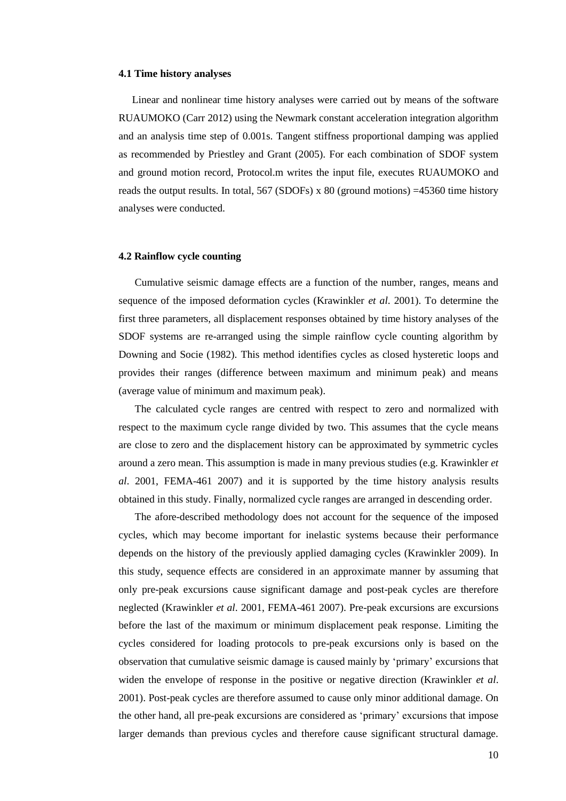#### **4.1 Time history analyses**

Linear and nonlinear time history analyses were carried out by means of the software RUAUMOKO (Carr 2012) using the Newmark constant acceleration integration algorithm and an analysis time step of 0.001s. Tangent stiffness proportional damping was applied as recommended by Priestley and Grant (2005). For each combination of SDOF system and ground motion record, Protocol.m writes the input file, executes RUAUMOKO and reads the output results. In total,  $567$  (SDOFs) x 80 (ground motions) =45360 time history analyses were conducted.

#### **4.2 Rainflow cycle counting**

Cumulative seismic damage effects are a function of the number, ranges, means and sequence of the imposed deformation cycles (Krawinkler *et al*. 2001). To determine the first three parameters, all displacement responses obtained by time history analyses of the SDOF systems are re-arranged using the simple rainflow cycle counting algorithm by Downing and Socie (1982). This method identifies cycles as closed hysteretic loops and provides their ranges (difference between maximum and minimum peak) and means (average value of minimum and maximum peak).

The calculated cycle ranges are centred with respect to zero and normalized with respect to the maximum cycle range divided by two. This assumes that the cycle means are close to zero and the displacement history can be approximated by symmetric cycles around a zero mean. This assumption is made in many previous studies (e.g. Krawinkler *et al*. 2001, FEMA-461 2007) and it is supported by the time history analysis results obtained in this study. Finally, normalized cycle ranges are arranged in descending order.

The afore-described methodology does not account for the sequence of the imposed cycles, which may become important for inelastic systems because their performance depends on the history of the previously applied damaging cycles (Krawinkler 2009). In this study, sequence effects are considered in an approximate manner by assuming that only pre-peak excursions cause significant damage and post-peak cycles are therefore neglected (Krawinkler *et al*. 2001, FEMA-461 2007). Pre-peak excursions are excursions before the last of the maximum or minimum displacement peak response. Limiting the cycles considered for loading protocols to pre-peak excursions only is based on the observation that cumulative seismic damage is caused mainly by 'primary' excursions that widen the envelope of response in the positive or negative direction (Krawinkler *et al*. 2001). Post-peak cycles are therefore assumed to cause only minor additional damage. On the other hand, all pre-peak excursions are considered as 'primary' excursions that impose larger demands than previous cycles and therefore cause significant structural damage.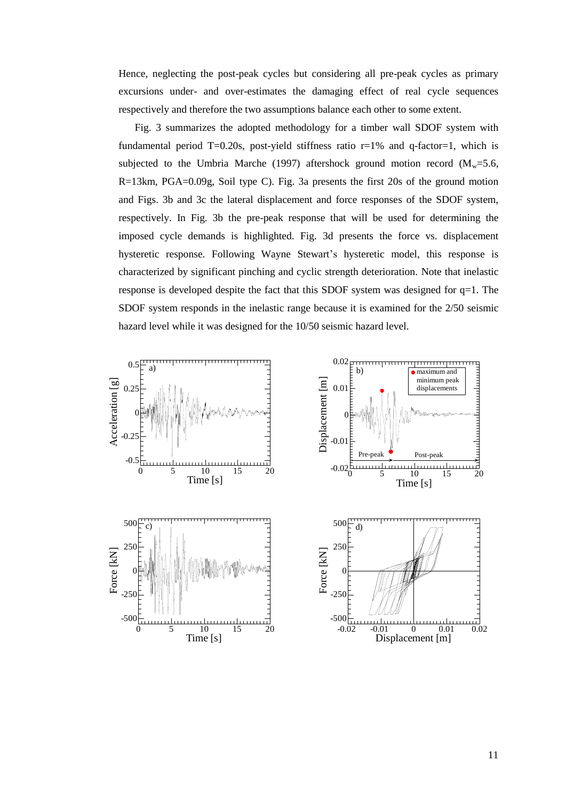Hence, neglecting the post-peak cycles but considering all pre-peak cycles as primary excursions under- and over-estimates the damaging effect of real cycle sequences respectively and therefore the two assumptions balance each other to some extent.

Fig. 3 summarizes the adopted methodology for a timber wall SDOF system with fundamental period T=0.20s, post-yield stiffness ratio  $r=1%$  and q-factor=1, which is subjected to the Umbria Marche (1997) aftershock ground motion record ( $M<sub>w</sub>=5.6$ , R=13km, PGA=0.09g, Soil type C). Fig. 3a presents the first 20s of the ground motion and Figs. 3b and 3c the lateral displacement and force responses of the SDOF system, respectively. In Fig. 3b the pre-peak response that will be used for determining the imposed cycle demands is highlighted. Fig. 3d presents the force vs. displacement hysteretic response. Following Wayne Stewart's hysteretic model, this response is characterized by significant pinching and cyclic strength deterioration. Note that inelastic response is developed despite the fact that this SDOF system was designed for q=1. The SDOF system responds in the inelastic range because it is examined for the 2/50 seismic hazard level while it was designed for the 10/50 seismic hazard level.

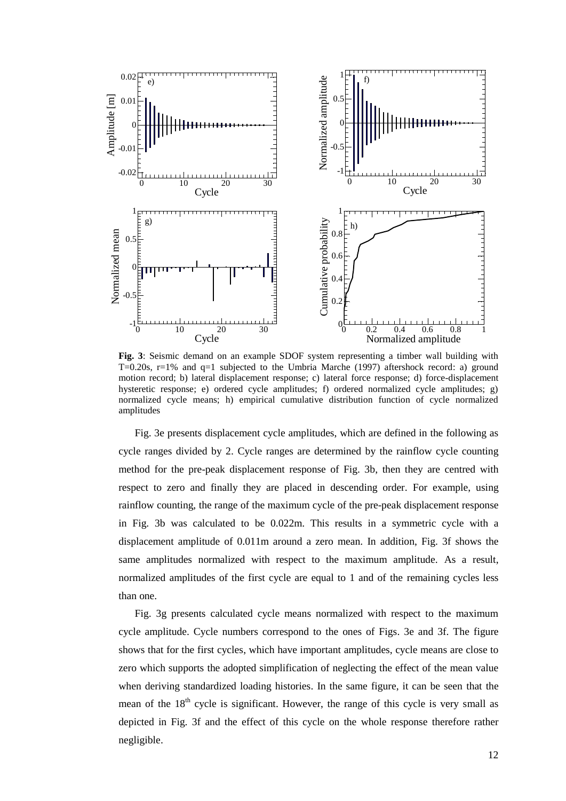

**Fig. 3**: Seismic demand on an example SDOF system representing a timber wall building with T=0.20s, r=1% and q=1 subjected to the Umbria Marche (1997) aftershock record: a) ground motion record; b) lateral displacement response; c) lateral force response; d) force-displacement hysteretic response; e) ordered cycle amplitudes; f) ordered normalized cycle amplitudes; g) normalized cycle means; h) empirical cumulative distribution function of cycle normalized amplitudes

Fig. 3e presents displacement cycle amplitudes, which are defined in the following as cycle ranges divided by 2. Cycle ranges are determined by the rainflow cycle counting method for the pre-peak displacement response of Fig. 3b, then they are centred with respect to zero and finally they are placed in descending order. For example, using rainflow counting, the range of the maximum cycle of the pre-peak displacement response in Fig. 3b was calculated to be 0.022m. This results in a symmetric cycle with a displacement amplitude of 0.011m around a zero mean. In addition, Fig. 3f shows the same amplitudes normalized with respect to the maximum amplitude. As a result, normalized amplitudes of the first cycle are equal to 1 and of the remaining cycles less than one.

Fig. 3g presents calculated cycle means normalized with respect to the maximum cycle amplitude. Cycle numbers correspond to the ones of Figs. 3e and 3f. The figure shows that for the first cycles, which have important amplitudes, cycle means are close to zero which supports the adopted simplification of neglecting the effect of the mean value when deriving standardized loading histories. In the same figure, it can be seen that the mean of the  $18<sup>th</sup>$  cycle is significant. However, the range of this cycle is very small as depicted in Fig. 3f and the effect of this cycle on the whole response therefore rather negligible.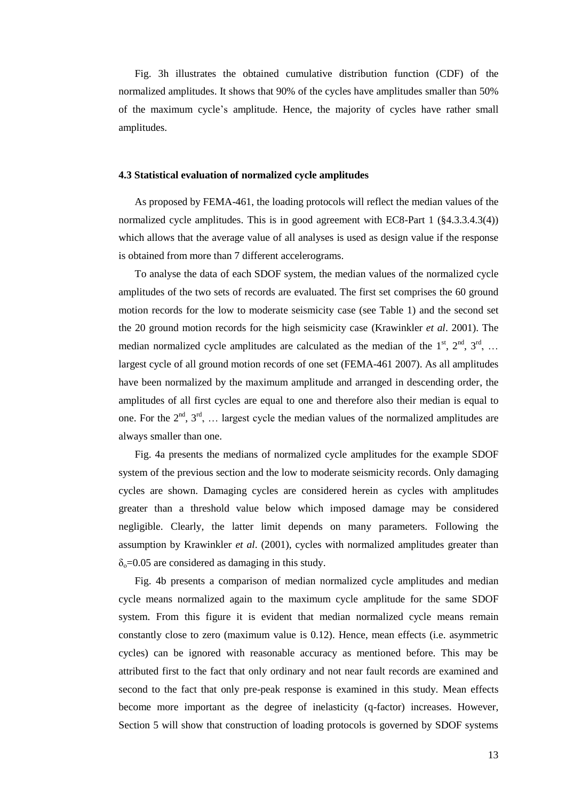Fig. 3h illustrates the obtained cumulative distribution function (CDF) of the normalized amplitudes. It shows that 90% of the cycles have amplitudes smaller than 50% of the maximum cycle's amplitude. Hence, the majority of cycles have rather small amplitudes.

#### **4.3 Statistical evaluation of normalized cycle amplitudes**

As proposed by FEMA-461, the loading protocols will reflect the median values of the normalized cycle amplitudes. This is in good agreement with EC8-Part 1 (§4.3.3.4.3(4)) which allows that the average value of all analyses is used as design value if the response is obtained from more than 7 different accelerograms.

To analyse the data of each SDOF system, the median values of the normalized cycle amplitudes of the two sets of records are evaluated. The first set comprises the 60 ground motion records for the low to moderate seismicity case (see Table 1) and the second set the 20 ground motion records for the high seismicity case (Krawinkler *et al*. 2001). The median normalized cycle amplitudes are calculated as the median of the  $1<sup>st</sup>$ ,  $2<sup>nd</sup>$ ,  $3<sup>rd</sup>$ , ... largest cycle of all ground motion records of one set (FEMA-461 2007). As all amplitudes have been normalized by the maximum amplitude and arranged in descending order, the amplitudes of all first cycles are equal to one and therefore also their median is equal to one. For the  $2<sup>nd</sup>$ ,  $3<sup>rd</sup>$ , ... largest cycle the median values of the normalized amplitudes are always smaller than one.

Fig. 4a presents the medians of normalized cycle amplitudes for the example SDOF system of the previous section and the low to moderate seismicity records. Only damaging cycles are shown. Damaging cycles are considered herein as cycles with amplitudes greater than a threshold value below which imposed damage may be considered negligible. Clearly, the latter limit depends on many parameters. Following the assumption by Krawinkler *et al*. (2001), cycles with normalized amplitudes greater than  $\delta_{0}$ =0.05 are considered as damaging in this study.

Fig. 4b presents a comparison of median normalized cycle amplitudes and median cycle means normalized again to the maximum cycle amplitude for the same SDOF system. From this figure it is evident that median normalized cycle means remain constantly close to zero (maximum value is 0.12). Hence, mean effects (i.e. asymmetric cycles) can be ignored with reasonable accuracy as mentioned before. This may be attributed first to the fact that only ordinary and not near fault records are examined and second to the fact that only pre-peak response is examined in this study. Mean effects become more important as the degree of inelasticity (q-factor) increases. However, Section 5 will show that construction of loading protocols is governed by SDOF systems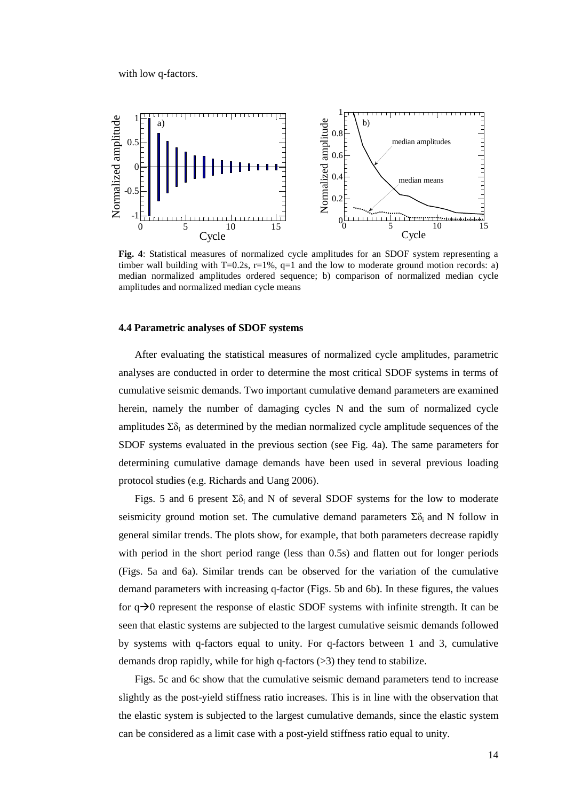with low q-factors.



**Fig. 4**: Statistical measures of normalized cycle amplitudes for an SDOF system representing a timber wall building with T=0.2s,  $r=1\%$ ,  $q=1$  and the low to moderate ground motion records: a) median normalized amplitudes ordered sequence; b) comparison of normalized median cycle amplitudes and normalized median cycle means

#### **4.4 Parametric analyses of SDOF systems**

After evaluating the statistical measures of normalized cycle amplitudes, parametric analyses are conducted in order to determine the most critical SDOF systems in terms of cumulative seismic demands. Two important cumulative demand parameters are examined herein, namely the number of damaging cycles N and the sum of normalized cycle amplitudes  $\Sigma \delta_i$  as determined by the median normalized cycle amplitude sequences of the SDOF systems evaluated in the previous section (see Fig. 4a). The same parameters for determining cumulative damage demands have been used in several previous loading protocol studies (e.g. Richards and Uang 2006).

Figs. 5 and 6 present  $\Sigma \delta_i$  and N of several SDOF systems for the low to moderate seismicity ground motion set. The cumulative demand parameters  $\Sigma \delta_i$  and N follow in general similar trends. The plots show, for example, that both parameters decrease rapidly with period in the short period range (less than 0.5s) and flatten out for longer periods (Figs. 5a and 6a). Similar trends can be observed for the variation of the cumulative demand parameters with increasing q-factor (Figs. 5b and 6b). In these figures, the values for  $q\rightarrow 0$  represent the response of elastic SDOF systems with infinite strength. It can be seen that elastic systems are subjected to the largest cumulative seismic demands followed by systems with q-factors equal to unity. For q-factors between 1 and 3, cumulative demands drop rapidly, while for high q-factors (>3) they tend to stabilize.

Figs. 5c and 6c show that the cumulative seismic demand parameters tend to increase slightly as the post-yield stiffness ratio increases. This is in line with the observation that the elastic system is subjected to the largest cumulative demands, since the elastic system can be considered as a limit case with a post-yield stiffness ratio equal to unity.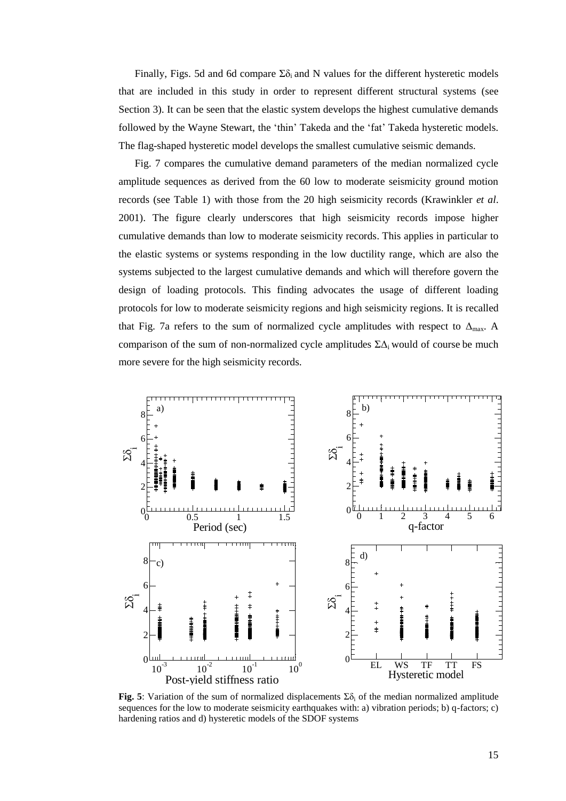Finally, Figs. 5d and 6d compare  $\Sigma \delta_i$  and N values for the different hysteretic models that are included in this study in order to represent different structural systems (see Section 3). It can be seen that the elastic system develops the highest cumulative demands followed by the Wayne Stewart, the 'thin' Takeda and the 'fat' Takeda hysteretic models. The flag-shaped hysteretic model develops the smallest cumulative seismic demands.

Fig. 7 compares the cumulative demand parameters of the median normalized cycle amplitude sequences as derived from the 60 low to moderate seismicity ground motion records (see Table 1) with those from the 20 high seismicity records (Krawinkler *et al*. 2001). The figure clearly underscores that high seismicity records impose higher cumulative demands than low to moderate seismicity records. This applies in particular to the elastic systems or systems responding in the low ductility range, which are also the systems subjected to the largest cumulative demands and which will therefore govern the design of loading protocols. This finding advocates the usage of different loading protocols for low to moderate seismicity regions and high seismicity regions. It is recalled that Fig. 7a refers to the sum of normalized cycle amplitudes with respect to  $\Delta_{\text{max}}$ . A comparison of the sum of non-normalized cycle amplitudes  $\Sigma\Delta_i$  would of course be much more severe for the high seismicity records.



**Fig. 5**: Variation of the sum of normalized displacements  $\Sigma \delta_i$  of the median normalized amplitude sequences for the low to moderate seismicity earthquakes with: a) vibration periods; b) q-factors; c) hardening ratios and d) hysteretic models of the SDOF systems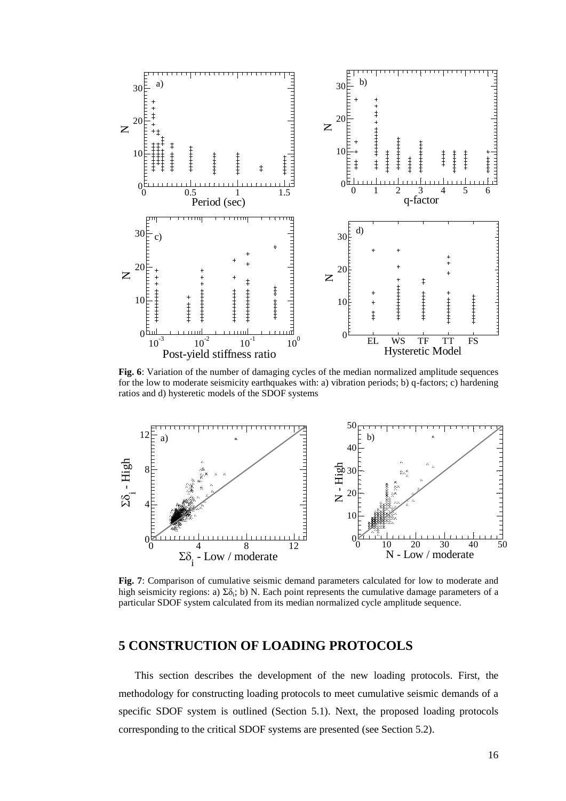

**Fig. 6**: Variation of the number of damaging cycles of the median normalized amplitude sequences for the low to moderate seismicity earthquakes with: a) vibration periods; b) q-factors; c) hardening ratios and d) hysteretic models of the SDOF systems



**Fig. 7**: Comparison of cumulative seismic demand parameters calculated for low to moderate and high seismicity regions: a)  $\Sigma \delta_i$ ; b) N. Each point represents the cumulative damage parameters of a particular SDOF system calculated from its median normalized cycle amplitude sequence.

# **5 CONSTRUCTION OF LOADING PROTOCOLS**

This section describes the development of the new loading protocols. First, the methodology for constructing loading protocols to meet cumulative seismic demands of a specific SDOF system is outlined (Section 5.1). Next, the proposed loading protocols corresponding to the critical SDOF systems are presented (see Section 5.2).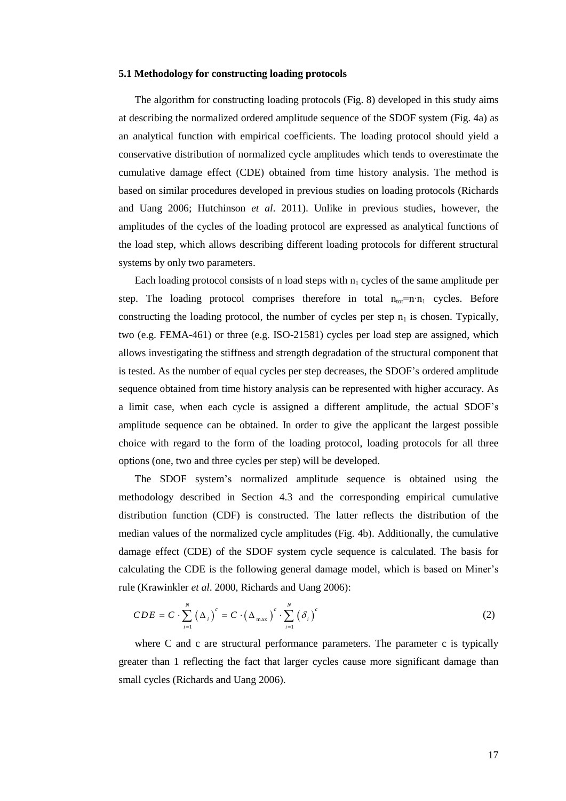#### **5.1 Methodology for constructing loading protocols**

The algorithm for constructing loading protocols (Fig. 8) developed in this study aims at describing the normalized ordered amplitude sequence of the SDOF system (Fig. 4a) as an analytical function with empirical coefficients. The loading protocol should yield a conservative distribution of normalized cycle amplitudes which tends to overestimate the cumulative damage effect (CDE) obtained from time history analysis. The method is based on similar procedures developed in previous studies on loading protocols (Richards and Uang 2006; Hutchinson *et al*. 2011). Unlike in previous studies, however, the amplitudes of the cycles of the loading protocol are expressed as analytical functions of the load step, which allows describing different loading protocols for different structural systems by only two parameters.

Each loading protocol consists of n load steps with  $n_1$  cycles of the same amplitude per step. The loading protocol comprises therefore in total  $n_{\text{tot}}=n \cdot n_1$  cycles. Before constructing the loading protocol, the number of cycles per step  $n_1$  is chosen. Typically, two (e.g. FEMA-461) or three (e.g. ISO-21581) cycles per load step are assigned, which allows investigating the stiffness and strength degradation of the structural component that is tested. As the number of equal cycles per step decreases, the SDOF's ordered amplitude sequence obtained from time history analysis can be represented with higher accuracy. As a limit case, when each cycle is assigned a different amplitude, the actual SDOF's amplitude sequence can be obtained. In order to give the applicant the largest possible choice with regard to the form of the loading protocol, loading protocols for all three options (one, two and three cycles per step) will be developed.

The SDOF system's normalized amplitude sequence is obtained using the methodology described in Section 4.3 and the corresponding empirical cumulative distribution function (CDF) is constructed. The latter reflects the distribution of the median values of the normalized cycle amplitudes (Fig. 4b). Additionally, the cumulative damage effect (CDE) of the SDOF system cycle sequence is calculated. The basis for calculating the CDE is the following general damage model, which is based on Miner's rule (Krawinkler *et al*. 2000, Richards and Uang 2006):

$$
CDE = C \cdot \sum_{i=1}^{N} (\Delta_i)^c = C \cdot (\Delta_{\max})^c \cdot \sum_{i=1}^{N} (\delta_i)^c
$$
 (2)

where C and c are structural performance parameters. The parameter c is typically greater than 1 reflecting the fact that larger cycles cause more significant damage than small cycles (Richards and Uang 2006).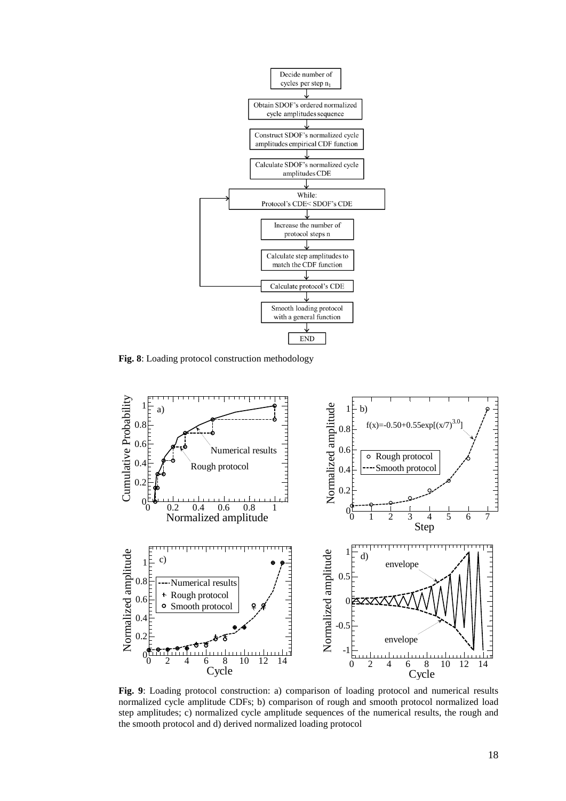

**Fig. 8**: Loading protocol construction methodology



**Fig. 9**: Loading protocol construction: a) comparison of loading protocol and numerical results normalized cycle amplitude CDFs; b) comparison of rough and smooth protocol normalized load step amplitudes; c) normalized cycle amplitude sequences of the numerical results, the rough and the smooth protocol and d) derived normalized loading protocol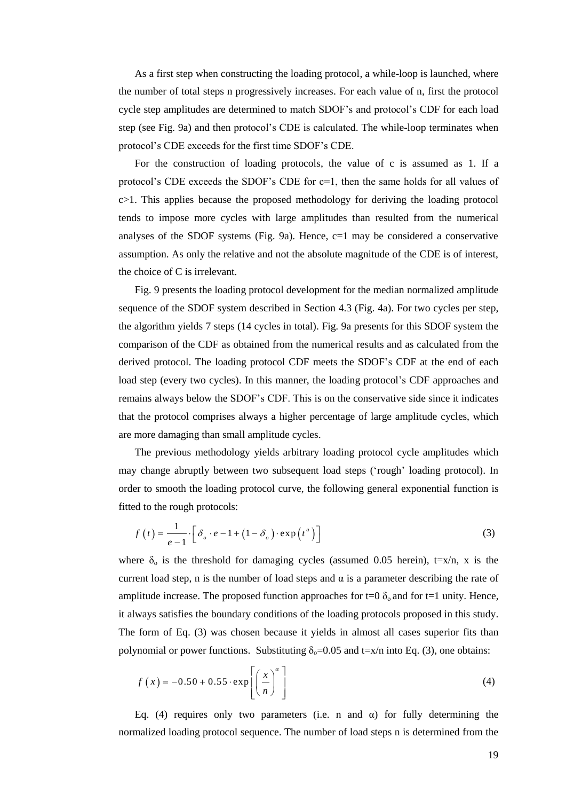As a first step when constructing the loading protocol, a while-loop is launched, where the number of total steps n progressively increases. For each value of n, first the protocol cycle step amplitudes are determined to match SDOF's and protocol's CDF for each load step (see Fig. 9a) and then protocol's CDE is calculated. The while-loop terminates when protocol's CDE exceeds for the first time SDOF's CDE.

For the construction of loading protocols, the value of c is assumed as 1. If a protocol's CDE exceeds the SDOF's CDE for c=1, then the same holds for all values of c>1. This applies because the proposed methodology for deriving the loading protocol tends to impose more cycles with large amplitudes than resulted from the numerical analyses of the SDOF systems (Fig. 9a). Hence,  $c=1$  may be considered a conservative assumption. As only the relative and not the absolute magnitude of the CDE is of interest, the choice of C is irrelevant.

Fig. 9 presents the loading protocol development for the median normalized amplitude sequence of the SDOF system described in Section 4.3 (Fig. 4a). For two cycles per step, the algorithm yields 7 steps (14 cycles in total). Fig. 9a presents for this SDOF system the comparison of the CDF as obtained from the numerical results and as calculated from the derived protocol. The loading protocol CDF meets the SDOF's CDF at the end of each load step (every two cycles). In this manner, the loading protocol's CDF approaches and remains always below the SDOF's CDF. This is on the conservative side since it indicates that the protocol comprises always a higher percentage of large amplitude cycles, which are more damaging than small amplitude cycles.

The previous methodology yields arbitrary loading protocol cycle amplitudes which may change abruptly between two subsequent load steps ('rough' loading protocol). In order to smooth the loading protocol curve, the following general exponential function is fitted to the rough protocols:

$$
f(t) = \frac{1}{e-1} \left[ \delta_o \cdot e - 1 + (1 - \delta_o) \cdot \exp(t^a) \right]
$$
 (3)

where  $\delta_0$  is the threshold for damaging cycles (assumed 0.05 herein), t=x/n, x is the current load step, n is the number of load steps and  $\alpha$  is a parameter describing the rate of amplitude increase. The proposed function approaches for t=0  $\delta_0$  and for t=1 unity. Hence, it always satisfies the boundary conditions of the loading protocols proposed in this study. The form of Eq. (3) was chosen because it yields in almost all cases superior fits than polynomial or power functions. Substituting  $\delta_0 = 0.05$  and t=x/n into Eq. (3), one obtains:

$$
f(x) = -0.50 + 0.55 \cdot \exp\left[\left(\frac{x}{n}\right)^{\alpha}\right]
$$
 (4)

Eq. (4) requires only two parameters (i.e. n and  $\alpha$ ) for fully determining the normalized loading protocol sequence. The number of load steps n is determined from the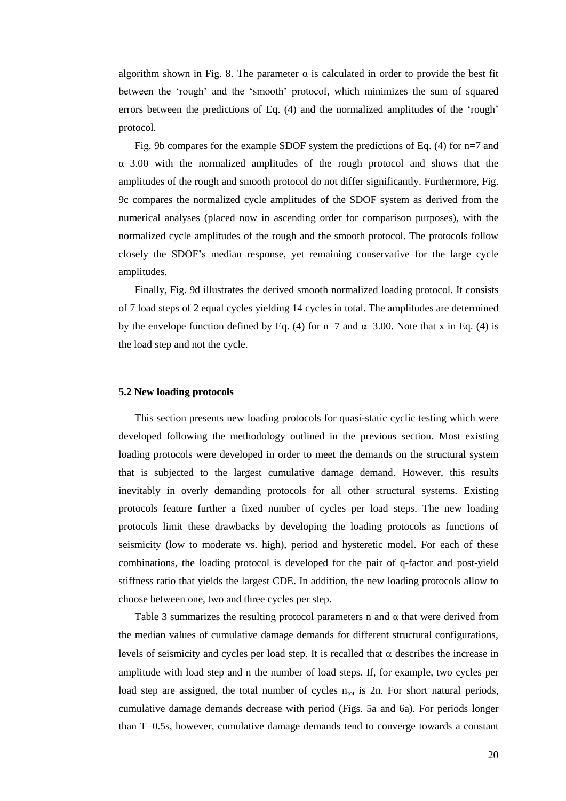algorithm shown in Fig. 8. The parameter  $\alpha$  is calculated in order to provide the best fit between the 'rough' and the 'smooth' protocol, which minimizes the sum of squared errors between the predictions of Eq. (4) and the normalized amplitudes of the 'rough' protocol.

Fig. 9b compares for the example SDOF system the predictions of Eq. (4) for n=7 and  $\alpha = 3.00$  with the normalized amplitudes of the rough protocol and shows that the amplitudes of the rough and smooth protocol do not differ significantly. Furthermore, Fig. 9c compares the normalized cycle amplitudes of the SDOF system as derived from the numerical analyses (placed now in ascending order for comparison purposes), with the normalized cycle amplitudes of the rough and the smooth protocol. The protocols follow closely the SDOF's median response, yet remaining conservative for the large cycle amplitudes.

Finally, Fig. 9d illustrates the derived smooth normalized loading protocol. It consists of 7 load steps of 2 equal cycles yielding 14 cycles in total. The amplitudes are determined by the envelope function defined by Eq. (4) for n=7 and  $\alpha$ =3.00. Note that x in Eq. (4) is the load step and not the cycle.

#### **5.2 New loading protocols**

This section presents new loading protocols for quasi-static cyclic testing which were developed following the methodology outlined in the previous section. Most existing loading protocols were developed in order to meet the demands on the structural system that is subjected to the largest cumulative damage demand. However, this results inevitably in overly demanding protocols for all other structural systems. Existing protocols feature further a fixed number of cycles per load steps. The new loading protocols limit these drawbacks by developing the loading protocols as functions of seismicity (low to moderate vs. high), period and hysteretic model. For each of these combinations, the loading protocol is developed for the pair of q-factor and post-yield stiffness ratio that yields the largest CDE. In addition, the new loading protocols allow to choose between one, two and three cycles per step.

Table 3 summarizes the resulting protocol parameters n and  $\alpha$  that were derived from the median values of cumulative damage demands for different structural configurations, levels of seismicity and cycles per load step. It is recalled that  $\alpha$  describes the increase in amplitude with load step and n the number of load steps. If, for example, two cycles per load step are assigned, the total number of cycles  $n_{tot}$  is 2n. For short natural periods, cumulative damage demands decrease with period (Figs. 5a and 6a). For periods longer than T=0.5s, however, cumulative damage demands tend to converge towards a constant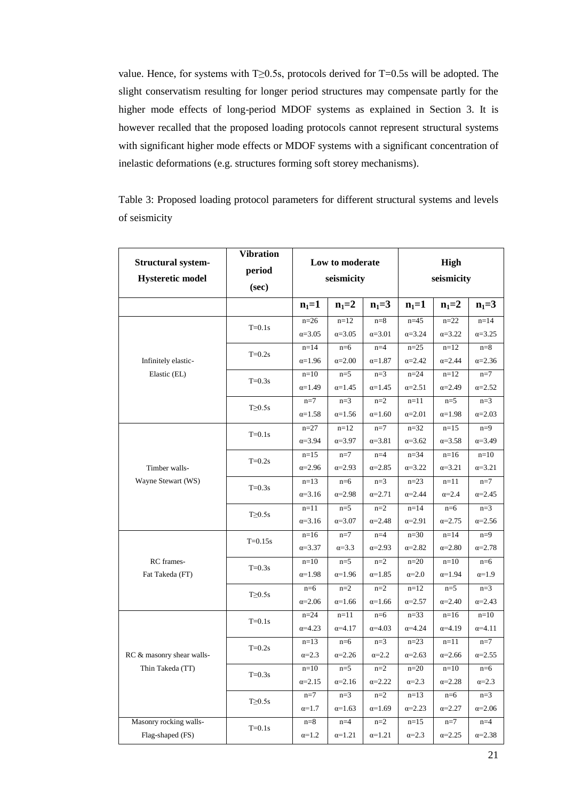value. Hence, for systems with T≥0.5s, protocols derived for T=0.5s will be adopted. The slight conservatism resulting for longer period structures may compensate partly for the higher mode effects of long-period MDOF systems as explained in Section 3. It is however recalled that the proposed loading protocols cannot represent structural systems with significant higher mode effects or MDOF systems with a significant concentration of inelastic deformations (e.g. structures forming soft storey mechanisms).

Table 3: Proposed loading protocol parameters for different structural systems and levels of seismicity

| <b>Structural system-</b><br><b>Hysteretic model</b> | <b>Vibration</b><br>period<br>(sec) |                             | Low to moderate<br>seismicity |                          | <b>High</b><br>seismicity   |                                    |                             |  |
|------------------------------------------------------|-------------------------------------|-----------------------------|-------------------------------|--------------------------|-----------------------------|------------------------------------|-----------------------------|--|
|                                                      |                                     | $n_1 = 1$                   | $n_1 = 2$                     | $n_1 = 3$                | $n_1 = 1$                   | $n_1 = 2$                          | $n_1 = 3$                   |  |
| Infinitely elastic-                                  | $T=0.1s$                            | $n=26$<br>$\alpha = 3.05$   | $n=12$<br>$\alpha = 3.05$     | $n=8$<br>$\alpha = 3.01$ | $n=45$<br>$\alpha = 3.24$   | $n = 22$<br>$\alpha = 3.22$        | $n = 14$<br>$\alpha = 3.25$ |  |
|                                                      | $T=0.2s$                            | $n=14$<br>$\alpha = 1.96$   | $n=6$<br>$\alpha = 2.00$      | $n=4$<br>$\alpha = 1.87$ | $n=25$<br>$\alpha = 2.42$   | $n=12$<br>$\alpha = 2.44$          | $n=8$<br>$\alpha = 2.36$    |  |
| Elastic (EL)                                         | $T=0.3s$                            | $n=10$<br>$\alpha = 1.49$   | $n=5$<br>$\alpha = 1.45$      | $n=3$<br>$\alpha = 1.45$ | $n = 24$<br>$\alpha = 2.51$ | $n=12$<br>$\alpha = 2.49$          | $n=7$<br>$\alpha = 2.52$    |  |
|                                                      | $T\geq 0.5s$                        | $n=7$<br>$\alpha = 1.58$    | $n=3$<br>$\alpha = 1.56$      | $n=2$<br>$\alpha = 1.60$ | $n=11$<br>$\alpha = 2.01$   | $n=5$<br>$\alpha = 1.98$<br>$n=15$ | $n=3$<br>$\alpha = 2.03$    |  |
| Timber walls-                                        | $T=0.1s$                            | $n = 27$<br>$\alpha = 3.94$ | $n=12$<br>$\alpha = 3.97$     | $n=7$<br>$\alpha = 3.81$ | $n = 32$<br>$\alpha = 3.62$ | $\alpha = 3.58$                    | $n=9$<br>$\alpha = 3.49$    |  |
|                                                      | $T=0.2s$                            | $n = 15$<br>$\alpha = 2.96$ | $n=7$<br>$\alpha = 2.93$      | $n=4$<br>$\alpha = 2.85$ | $n = 34$<br>$\alpha = 3.22$ | $n=16$<br>$\alpha = 3.21$          | $n=10$<br>$\alpha = 3.21$   |  |
| Wayne Stewart (WS)                                   | $T=0.3s$                            | $n=13$<br>$\alpha = 3.16$   | $n=6$<br>$\alpha = 2.98$      | $n=3$<br>$\alpha = 2.71$ | $n=23$<br>$\alpha = 2.44$   | $n=11$<br>$\alpha = 2.4$           | $n=7$<br>$\alpha = 2.45$    |  |
|                                                      | $T\geq 0.5s$                        | $n=11$<br>$\alpha = 3.16$   | $n=5$<br>$\alpha = 3.07$      | $n=2$<br>$\alpha = 2.48$ | $n=14$<br>$\alpha = 2.91$   | $n=6$<br>$\alpha = 2.75$           | $n=3$<br>$\alpha = 2.56$    |  |
|                                                      | $T = 0.15s$                         | $n=16$<br>$\alpha = 3.37$   | $n=7$<br>$\alpha = 3.3$       | $n=4$<br>$\alpha = 2.93$ | $n=30$<br>$\alpha = 2.82$   | $n=14$<br>$\alpha = 2.80$          | $n=9$<br>$\alpha = 2.78$    |  |
| RC frames-<br>Fat Takeda (FT)                        | $T=0.3s$                            | $n=10$<br>$\alpha = 1.98$   | $n=5$<br>$\alpha = 1.96$      | $n=2$<br>$\alpha = 1.85$ | $n=20$<br>$\alpha=2.0$      | $n=10$<br>$\alpha = 1.94$          | $n=6$<br>$\alpha=1.9$       |  |
|                                                      | $T\geq 0.5s$                        | $n=6$<br>$\alpha = 2.06$    | $n=2$<br>$\alpha = 1.66$      | $n=2$<br>$\alpha = 1.66$ | $n=12$<br>$\alpha = 2.57$   | $n=5$<br>$\alpha = 2.40$           | $n=3$<br>$\alpha = 2.43$    |  |
| RC & masonry shear walls-                            | $T=0.1s$                            | $n = 24$<br>$\alpha = 4.23$ | $n=11$<br>$\alpha = 4.17$     | $n=6$<br>$\alpha = 4.03$ | $n=33$<br>$\alpha = 4.24$   | $n=16$<br>$\alpha = 4.19$          | $n=10$<br>$\alpha = 4.11$   |  |
|                                                      | $T=0.2s$                            | $n=13$<br>$\alpha = 2.3$    | $n=6$<br>$\alpha = 2.26$      | $n=3$<br>$\alpha = 2.2$  | $n=23$<br>$\alpha = 2.63$   | $n=11$<br>$\alpha = 2.66$          | $n=7$<br>$\alpha = 2.55$    |  |
| Thin Takeda (TT)                                     | $T=0.3s$                            | $n=10$<br>$\alpha = 2.15$   | $n=5$<br>$\alpha = 2.16$      | $n=2$<br>$\alpha = 2.22$ | $n=20$<br>$\alpha = 2.3$    | $n=10$<br>$\alpha = 2.28$          | $n=6$<br>$\alpha = 2.3$     |  |
|                                                      | $T\geq 0.5s$                        | $n=7$<br>$\alpha=1.7$       | $n=3$<br>$\alpha = 1.63$      | $n=2$<br>$\alpha = 1.69$ | $n=13$<br>$\alpha = 2.23$   | $n=6$<br>$\alpha = 2.27$           | $n=3$<br>$\alpha = 2.06$    |  |
| Masonry rocking walls-<br>Flag-shaped (FS)           | $T=0.1s$                            | $n=8$<br>$\alpha=1.2$       | $n=4$<br>$\alpha = 1.21$      | $n=2$<br>$\alpha = 1.21$ | $n=15$<br>$\alpha = 2.3$    | $n=7$<br>$\alpha = 2.25$           | $n=4$<br>$\alpha = 2.38$    |  |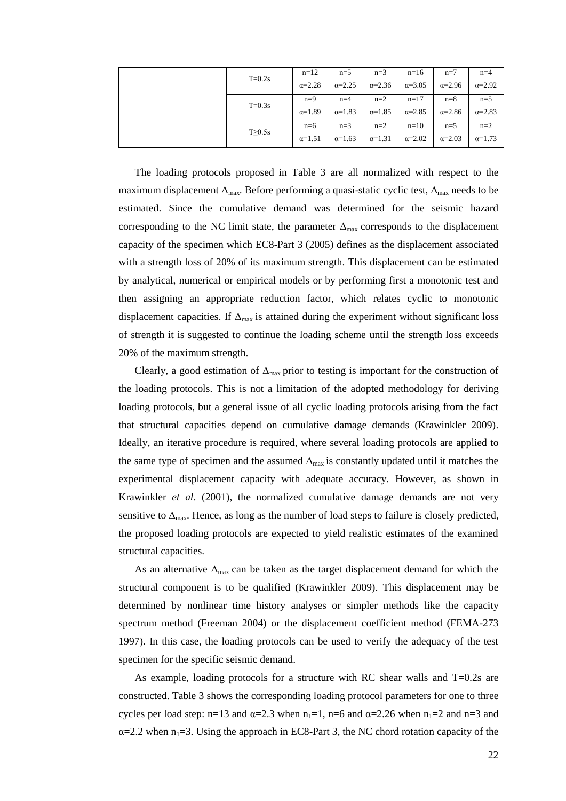|  |              | $n=12$          | $n=5$           | $n=3$           | $n=16$          | $n=7$           | $n=4$           |
|--|--------------|-----------------|-----------------|-----------------|-----------------|-----------------|-----------------|
|  | $T=0.2s$     | $\alpha = 2.28$ | $\alpha = 2.25$ | $\alpha = 2.36$ | $\alpha = 3.05$ | $\alpha = 2.96$ | $\alpha = 2.92$ |
|  | $T=0.3s$     | $n=9$           | $n=4$           | $n=2$           | $n=17$          | $n=8$           | $n=5$           |
|  |              | $\alpha = 1.89$ | $\alpha = 1.83$ | $\alpha = 1.85$ | $\alpha = 2.85$ | $\alpha = 2.86$ | $\alpha = 2.83$ |
|  | $T\geq 0.5s$ | $n=6$           | $n=3$           | $n=2$           | $n=10$          | $n=5$           | $n=2$           |
|  |              | $\alpha = 1.51$ | $\alpha=1.63$   | $\alpha=1.31$   | $\alpha = 2.02$ | $\alpha=2.03$   | $\alpha = 1.73$ |

The loading protocols proposed in Table 3 are all normalized with respect to the maximum displacement  $\Delta_{\text{max}}$ . Before performing a quasi-static cyclic test,  $\Delta_{\text{max}}$  needs to be estimated. Since the cumulative demand was determined for the seismic hazard corresponding to the NC limit state, the parameter  $\Delta_{\text{max}}$  corresponds to the displacement capacity of the specimen which EC8-Part 3 (2005) defines as the displacement associated with a strength loss of 20% of its maximum strength. This displacement can be estimated by analytical, numerical or empirical models or by performing first a monotonic test and then assigning an appropriate reduction factor, which relates cyclic to monotonic displacement capacities. If  $\Delta_{\text{max}}$  is attained during the experiment without significant loss of strength it is suggested to continue the loading scheme until the strength loss exceeds 20% of the maximum strength.

Clearly, a good estimation of  $\Delta_{\text{max}}$  prior to testing is important for the construction of the loading protocols. This is not a limitation of the adopted methodology for deriving loading protocols, but a general issue of all cyclic loading protocols arising from the fact that structural capacities depend on cumulative damage demands (Krawinkler 2009). Ideally, an iterative procedure is required, where several loading protocols are applied to the same type of specimen and the assumed  $\Delta_{\text{max}}$  is constantly updated until it matches the experimental displacement capacity with adequate accuracy. However, as shown in Krawinkler *et al*. (2001), the normalized cumulative damage demands are not very sensitive to  $\Delta_{\text{max}}$ . Hence, as long as the number of load steps to failure is closely predicted, the proposed loading protocols are expected to yield realistic estimates of the examined structural capacities.

As an alternative  $\Delta_{\text{max}}$  can be taken as the target displacement demand for which the structural component is to be qualified (Krawinkler 2009). This displacement may be determined by nonlinear time history analyses or simpler methods like the capacity spectrum method (Freeman 2004) or the displacement coefficient method (FEMA-273 1997). In this case, the loading protocols can be used to verify the adequacy of the test specimen for the specific seismic demand.

As example, loading protocols for a structure with RC shear walls and  $T=0.2$ s are constructed. Table 3 shows the corresponding loading protocol parameters for one to three cycles per load step: n=13 and  $\alpha$ =2.3 when n<sub>1</sub>=1, n=6 and  $\alpha$ =2.26 when n<sub>1</sub>=2 and n=3 and  $\alpha$ =2.2 when n<sub>1</sub>=3. Using the approach in EC8-Part 3, the NC chord rotation capacity of the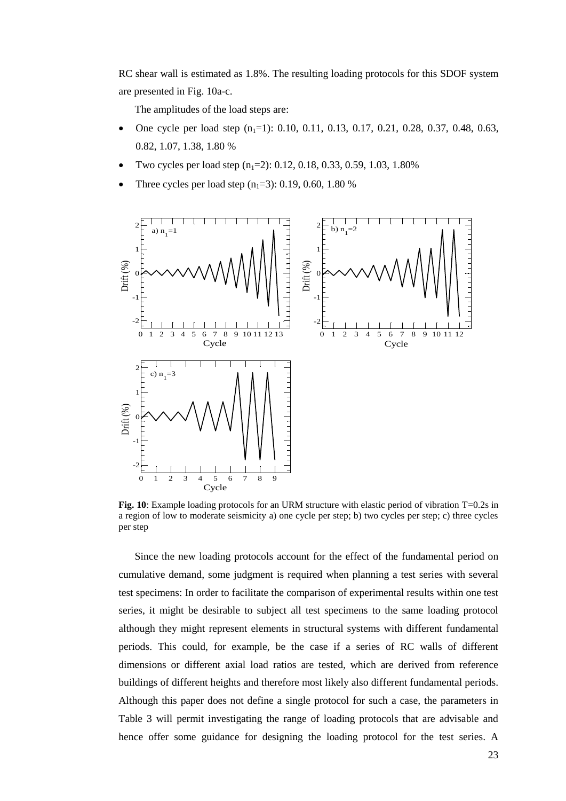RC shear wall is estimated as 1.8%. The resulting loading protocols for this SDOF system are presented in Fig. 10a-c.

The amplitudes of the load steps are:

- One cycle per load step  $(n_1=1)$ : 0.10, 0.11, 0.13, 0.17, 0.21, 0.28, 0.37, 0.48, 0.63, 0.82, 1.07, 1.38, 1.80 %
- Two cycles per load step  $(n_1=2)$ : 0.12, 0.18, 0.33, 0.59, 1.03, 1.80%
- Three cycles per load step  $(n_1=3)$ : 0.19, 0.60, 1.80 %



**Fig. 10**: Example loading protocols for an URM structure with elastic period of vibration T=0.2s in a region of low to moderate seismicity a) one cycle per step; b) two cycles per step; c) three cycles per step

Since the new loading protocols account for the effect of the fundamental period on cumulative demand, some judgment is required when planning a test series with several test specimens: In order to facilitate the comparison of experimental results within one test series, it might be desirable to subject all test specimens to the same loading protocol although they might represent elements in structural systems with different fundamental periods. This could, for example, be the case if a series of RC walls of different dimensions or different axial load ratios are tested, which are derived from reference buildings of different heights and therefore most likely also different fundamental periods. Although this paper does not define a single protocol for such a case, the parameters in Table 3 will permit investigating the range of loading protocols that are advisable and hence offer some guidance for designing the loading protocol for the test series. A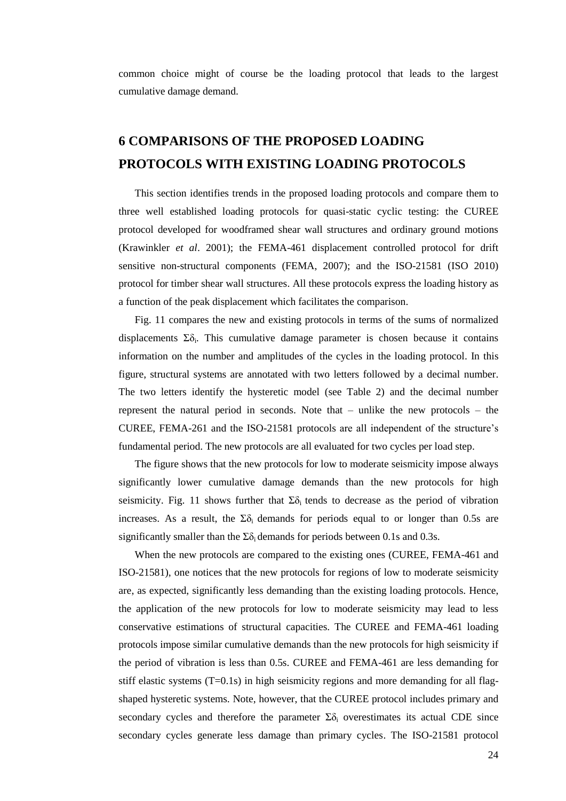common choice might of course be the loading protocol that leads to the largest cumulative damage demand.

# **6 COMPARISONS OF THE PROPOSED LOADING PROTOCOLS WITH EXISTING LOADING PROTOCOLS**

This section identifies trends in the proposed loading protocols and compare them to three well established loading protocols for quasi-static cyclic testing: the CUREE protocol developed for woodframed shear wall structures and ordinary ground motions (Krawinkler *et al*. 2001); the FEMA-461 displacement controlled protocol for drift sensitive non-structural components (FEMA, 2007); and the ISO-21581 (ISO 2010) protocol for timber shear wall structures. All these protocols express the loading history as a function of the peak displacement which facilitates the comparison.

Fig. 11 compares the new and existing protocols in terms of the sums of normalized displacements  $\Sigma \delta_i$ . This cumulative damage parameter is chosen because it contains information on the number and amplitudes of the cycles in the loading protocol. In this figure, structural systems are annotated with two letters followed by a decimal number. The two letters identify the hysteretic model (see Table 2) and the decimal number represent the natural period in seconds. Note that – unlike the new protocols – the CUREE, FEMA-261 and the ISO-21581 protocols are all independent of the structure's fundamental period. The new protocols are all evaluated for two cycles per load step.

The figure shows that the new protocols for low to moderate seismicity impose always significantly lower cumulative damage demands than the new protocols for high seismicity. Fig. 11 shows further that  $\Sigma \delta_i$  tends to decrease as the period of vibration increases. As a result, the  $\Sigma \delta_i$  demands for periods equal to or longer than 0.5s are significantly smaller than the  $\Sigma \delta_i$  demands for periods between 0.1s and 0.3s.

When the new protocols are compared to the existing ones (CUREE, FEMA-461 and ISO-21581), one notices that the new protocols for regions of low to moderate seismicity are, as expected, significantly less demanding than the existing loading protocols. Hence, the application of the new protocols for low to moderate seismicity may lead to less conservative estimations of structural capacities. The CUREE and FEMA-461 loading protocols impose similar cumulative demands than the new protocols for high seismicity if the period of vibration is less than 0.5s. CUREE and FEMA-461 are less demanding for stiff elastic systems  $(T=0.1s)$  in high seismicity regions and more demanding for all flagshaped hysteretic systems. Note, however, that the CUREE protocol includes primary and secondary cycles and therefore the parameter  $\Sigma \delta_i$  overestimates its actual CDE since secondary cycles generate less damage than primary cycles. The ISO-21581 protocol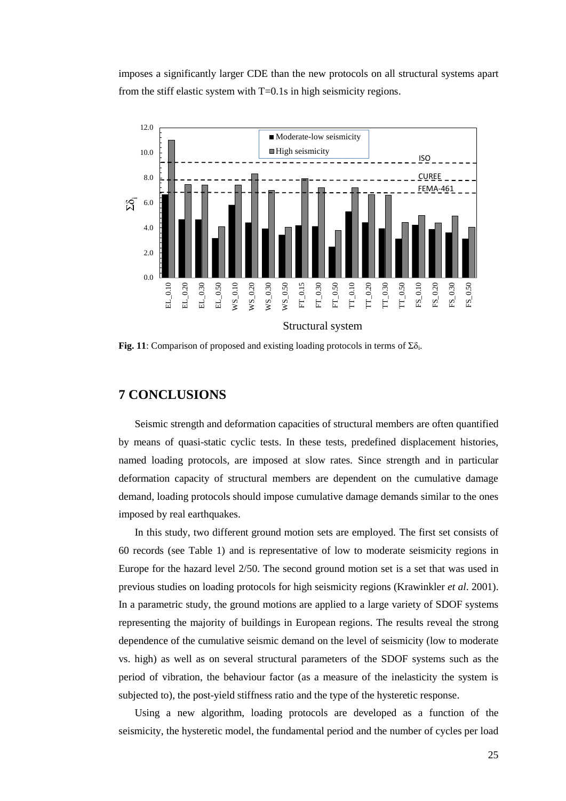imposes a significantly larger CDE than the new protocols on all structural systems apart from the stiff elastic system with T=0.1s in high seismicity regions.



**Fig. 11**: Comparison of proposed and existing loading protocols in terms of  $\Sigma \delta_i$ .

### **7 CONCLUSIONS**

Seismic strength and deformation capacities of structural members are often quantified by means of quasi-static cyclic tests. In these tests, predefined displacement histories, named loading protocols, are imposed at slow rates. Since strength and in particular deformation capacity of structural members are dependent on the cumulative damage demand, loading protocols should impose cumulative damage demands similar to the ones imposed by real earthquakes.

In this study, two different ground motion sets are employed. The first set consists of 60 records (see Table 1) and is representative of low to moderate seismicity regions in Europe for the hazard level 2/50. The second ground motion set is a set that was used in previous studies on loading protocols for high seismicity regions (Krawinkler *et al*. 2001). In a parametric study, the ground motions are applied to a large variety of SDOF systems representing the majority of buildings in European regions. The results reveal the strong dependence of the cumulative seismic demand on the level of seismicity (low to moderate vs. high) as well as on several structural parameters of the SDOF systems such as the period of vibration, the behaviour factor (as a measure of the inelasticity the system is subjected to), the post-yield stiffness ratio and the type of the hysteretic response.

Using a new algorithm, loading protocols are developed as a function of the seismicity, the hysteretic model, the fundamental period and the number of cycles per load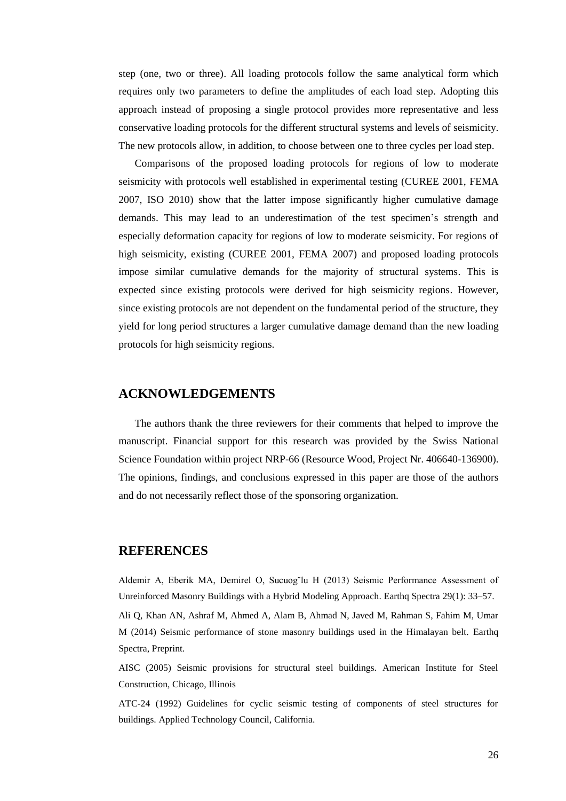step (one, two or three). All loading protocols follow the same analytical form which requires only two parameters to define the amplitudes of each load step. Adopting this approach instead of proposing a single protocol provides more representative and less conservative loading protocols for the different structural systems and levels of seismicity. The new protocols allow, in addition, to choose between one to three cycles per load step.

Comparisons of the proposed loading protocols for regions of low to moderate seismicity with protocols well established in experimental testing (CUREE 2001, FEMA 2007, ISO 2010) show that the latter impose significantly higher cumulative damage demands. This may lead to an underestimation of the test specimen's strength and especially deformation capacity for regions of low to moderate seismicity. For regions of high seismicity, existing (CUREE 2001, FEMA 2007) and proposed loading protocols impose similar cumulative demands for the majority of structural systems. This is expected since existing protocols were derived for high seismicity regions. However, since existing protocols are not dependent on the fundamental period of the structure, they yield for long period structures a larger cumulative damage demand than the new loading protocols for high seismicity regions.

## **ACKNOWLEDGEMENTS**

The authors thank the three reviewers for their comments that helped to improve the manuscript. Financial support for this research was provided by the Swiss National Science Foundation within project NRP-66 (Resource Wood, Project Nr. 406640-136900). The opinions, findings, and conclusions expressed in this paper are those of the authors and do not necessarily reflect those of the sponsoring organization.

### **REFERENCES**

Aldemir A, Eberik MA, Demirel O, Sucuog˘lu H (2013) Seismic Performance Assessment of Unreinforced Masonry Buildings with a Hybrid Modeling Approach. Earthq Spectra 29(1): 33–57.

Ali Q, Khan AN, Ashraf M, Ahmed A, Alam B, Ahmad N, Javed M, Rahman S, Fahim M, Umar M (2014) Seismic performance of stone masonry buildings used in the Himalayan belt. Earthq Spectra, Preprint.

AISC (2005) Seismic provisions for structural steel buildings. American Institute for Steel Construction, Chicago, Illinois

ATC-24 (1992) Guidelines for cyclic seismic testing of components of steel structures for buildings. Applied Technology Council, California.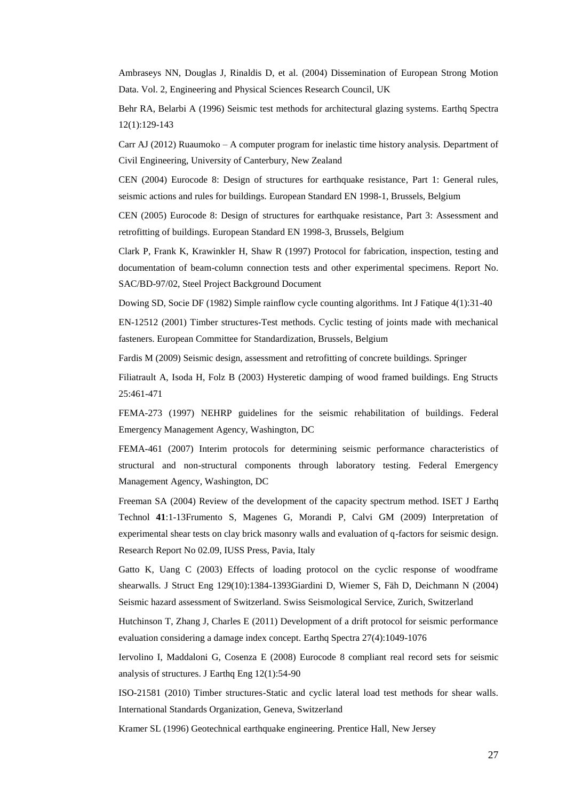Ambraseys NN, Douglas J, Rinaldis D, et al. (2004) Dissemination of European Strong Motion Data. Vol. 2, Engineering and Physical Sciences Research Council, UK

Behr RA, Belarbi A (1996) Seismic test methods for architectural glazing systems. Earthq Spectra 12(1):129-143

Carr AJ (2012) Ruaumoko – A computer program for inelastic time history analysis. Department of Civil Engineering, University of Canterbury, New Zealand

CEN (2004) Eurocode 8: Design of structures for earthquake resistance, Part 1: General rules, seismic actions and rules for buildings. European Standard EN 1998-1, Brussels, Belgium

CEN (2005) Eurocode 8: Design of structures for earthquake resistance, Part 3: Assessment and retrofitting of buildings. European Standard EN 1998-3, Brussels, Belgium

Clark P, Frank K, Krawinkler H, Shaw R (1997) Protocol for fabrication, inspection, testing and documentation of beam-column connection tests and other experimental specimens. Report No. SAC/BD-97/02, Steel Project Background Document

Dowing SD, Socie DF (1982) Simple rainflow cycle counting algorithms. Int J Fatique 4(1):31-40

EN-12512 (2001) Timber structures-Test methods. Cyclic testing of joints made with mechanical fasteners. European Committee for Standardization, Brussels, Belgium

Fardis M (2009) Seismic design, assessment and retrofitting of concrete buildings. Springer

Filiatrault A, Isoda H, Folz B (2003) Hysteretic damping of wood framed buildings. Eng Structs 25:461-471

FEMA-273 (1997) NEHRP guidelines for the seismic rehabilitation of buildings. Federal Emergency Management Agency, Washington, DC

FEMA-461 (2007) Interim protocols for determining seismic performance characteristics of structural and non-structural components through laboratory testing. Federal Emergency Management Agency, Washington, DC

Freeman SA (2004) Review of the development of the capacity spectrum method. ISET J Earthq Technol **41**:1-13Frumento S, Magenes G, Morandi P, Calvi GM (2009) Interpretation of experimental shear tests on clay brick masonry walls and evaluation of q-factors for seismic design. Research Report No 02.09, IUSS Press, Pavia, Italy

Gatto K, Uang C (2003) Effects of loading protocol on the cyclic response of woodframe shearwalls. J Struct Eng 129(10):1384-1393Giardini D, Wiemer S, Fäh D, Deichmann N (2004) Seismic hazard assessment of Switzerland. Swiss Seismological Service, Zurich, Switzerland

Hutchinson T, Zhang J, Charles E (2011) Development of a drift protocol for seismic performance evaluation considering a damage index concept. Earthq Spectra 27(4):1049-1076

Iervolino I, Maddaloni G, Cosenza E (2008) Eurocode 8 compliant real record sets for seismic analysis of structures. J Earthq Eng 12(1):54-90

ISO-21581 (2010) Timber structures-Static and cyclic lateral load test methods for shear walls. International Standards Organization, Geneva, Switzerland

Kramer SL (1996) Geotechnical earthquake engineering. Prentice Hall, New Jersey